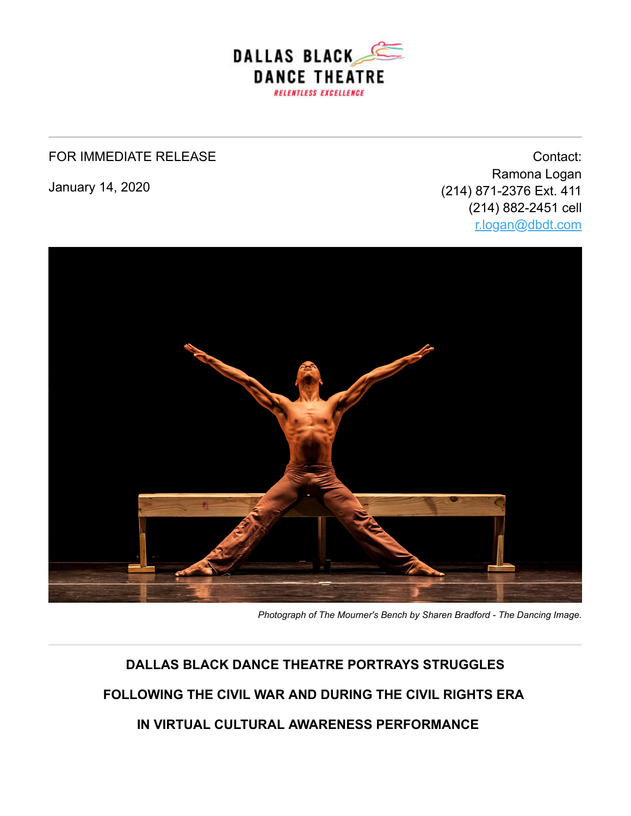

#### FOR IMMEDIATE RELEASE

January 14, 2020

Contact: Ramona Logan (214) 871-2376 Ext. 411 (214) 882-2451 cell [r.logan@dbdt.com](mailto:r.logan@dbdt.com)



*Photograph of The Mourner's Bench by Sharen Bradford - The Dancing Image.*

# **DALLAS BLACK DANCE THEATRE PORTRAYS STRUGGLES**

**FOLLOWING THE CIVIL WAR AND DURING THE CIVIL RIGHTS ERA**

 **IN VIRTUAL CULTURAL AWARENESS PERFORMANCE**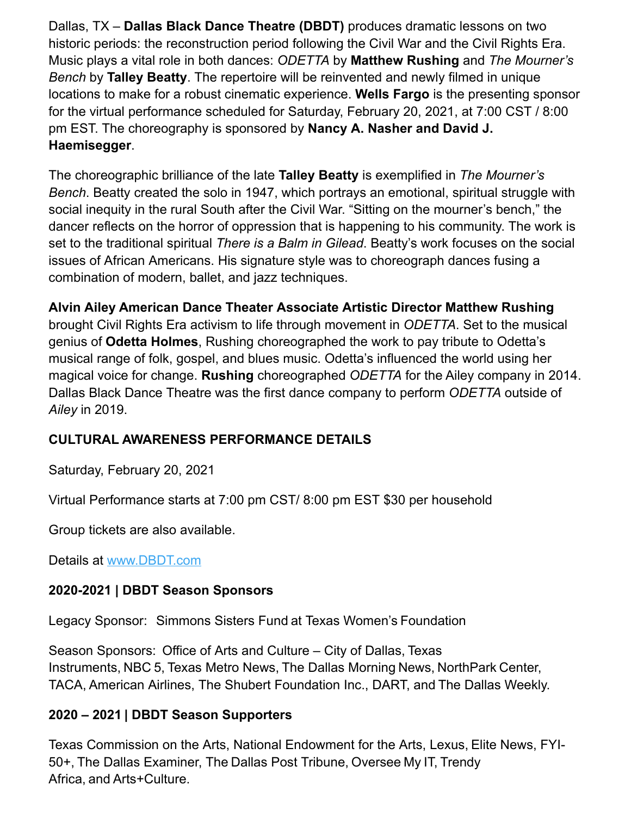Dallas, TX – **Dallas Black Dance Theatre (DBDT)** produces dramatic lessons on two historic periods: the reconstruction period following the Civil War and the Civil Rights Era. Music plays a vital role in both dances: *ODETTA* by **Matthew Rushing** and *The Mourner's Bench* by **Talley Beatty**. The repertoire will be reinvented and newly filmed in unique locations to make for a robust cinematic experience. **Wells Fargo** is the presenting sponsor for the virtual performance scheduled for Saturday, February 20, 2021, at 7:00 CST / 8:00 pm EST. The choreography is sponsored by **Nancy A. Nasher and David J. Haemisegger**.

The choreographic brilliance of the late **Talley Beatty** is exemplified in *The Mourner's Bench*. Beatty created the solo in 1947, which portrays an emotional, spiritual struggle with social inequity in the rural South after the Civil War. "Sitting on the mourner's bench," the dancer reflects on the horror of oppression that is happening to his community. The work is set to the traditional spiritual *There is a Balm in Gilead*. Beatty's work focuses on the social issues of African Americans. His signature style was to choreograph dances fusing a combination of modern, ballet, and jazz techniques.

### **Alvin Ailey American Dance Theater Associate Artistic Director Matthew Rushing**

brought Civil Rights Era activism to life through movement in *ODETTA*. Set to the musical genius of **Odetta Holmes**, Rushing choreographed the work to pay tribute to Odetta's musical range of folk, gospel, and blues music. Odetta's influenced the world using her magical voice for change. **Rushing** choreographed *ODETTA* for the Ailey company in 2014. Dallas Black Dance Theatre was the first dance company to perform *ODETTA* outside of *Ailey* in 2019.

#### **CULTURAL AWARENESS PERFORMANCE DETAILS**

Saturday, February 20, 2021

Virtual Performance starts at 7:00 pm CST/ 8:00 pm EST \$30 per household

Group tickets are also available.

Details at [www.DBDT.com](http://www.dbdt.com/)

#### **2020-2021 | DBDT Season Sponsors**

Legacy Sponsor:   Simmons Sisters Fund at Texas Women's Foundation

Season Sponsors:  Office of Arts and Culture – City of Dallas, Texas Instruments, NBC 5, Texas Metro News, The Dallas Morning News, NorthPark Center, TACA, American Airlines, The Shubert Foundation Inc., DART, and The Dallas Weekly.

#### **2020 – 2021 | DBDT Season Supporters**

Texas Commission on the Arts, National Endowment for the Arts, Lexus, Elite News, FYI-50+, The Dallas Examiner, The Dallas Post Tribune, Oversee My IT, Trendy Africa, and Arts+Culture.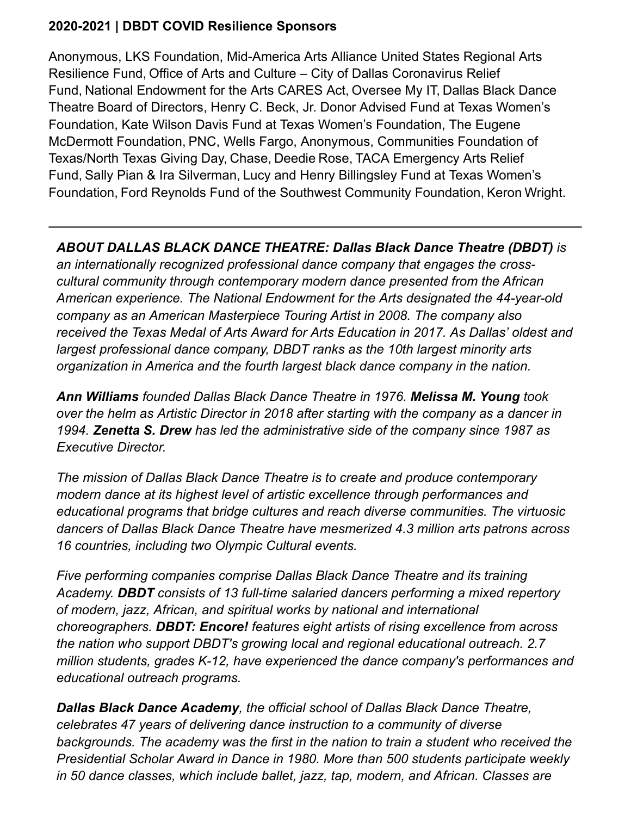#### **2020-2021 | DBDT COVID Resilience Sponsors**

Anonymous, LKS Foundation, Mid-America Arts Alliance United States Regional Arts Resilience Fund, Office of Arts and Culture – City of Dallas Coronavirus Relief Fund, National Endowment for the Arts CARES Act, Oversee My IT, Dallas Black Dance Theatre Board of Directors, Henry C. Beck, Jr. Donor Advised Fund at Texas Women's Foundation, Kate Wilson Davis Fund at Texas Women's Foundation, The Eugene McDermott Foundation, PNC, Wells Fargo, Anonymous, Communities Foundation of Texas/North Texas Giving Day, Chase, Deedie Rose, TACA Emergency Arts Relief Fund, Sally Pian & Ira Silverman, Lucy and Henry Billingsley Fund at Texas Women's Foundation, Ford Reynolds Fund of the Southwest Community Foundation, Keron Wright.

## *ABOUT DALLAS BLACK DANCE THEATRE: Dallas Black Dance Theatre (DBDT) is*

*an internationally recognized professional dance company that engages the crosscultural community through contemporary modern dance presented from the African American experience. The National Endowment for the Arts designated the 44-year-old company as an American Masterpiece Touring Artist in 2008. The company also received the Texas Medal of Arts Award for Arts Education in 2017. As Dallas' oldest and largest professional dance company, DBDT ranks as the 10th largest minority arts organization in America and the fourth largest black dance company in the nation.* 

*Ann Williams founded Dallas Black Dance Theatre in 1976. Melissa M. Young took over the helm as Artistic Director in 2018 after starting with the company as a dancer in 1994. Zenetta S. Drew has led the administrative side of the company since 1987 as Executive Director.*

*The mission of Dallas Black Dance Theatre is to create and produce contemporary modern dance at its highest level of artistic excellence through performances and educational programs that bridge cultures and reach diverse communities. The virtuosic dancers of Dallas Black Dance Theatre have mesmerized 4.3 million arts patrons across 16 countries, including two Olympic Cultural events.*

*Five performing companies comprise Dallas Black Dance Theatre and its training Academy. DBDT consists of 13 full-time salaried dancers performing a mixed repertory of modern, jazz, African, and spiritual works by national and international choreographers. DBDT: Encore! features eight artists of rising excellence from across the nation who support DBDT's growing local and regional educational outreach. 2.7 million students, grades K-12, have experienced the dance company's performances and educational outreach programs.* 

*Dallas Black Dance Academy, the official school of Dallas Black Dance Theatre, celebrates 47 years of delivering dance instruction to a community of diverse backgrounds. The academy was the first in the nation to train a student who received the Presidential Scholar Award in Dance in 1980. More than 500 students participate weekly in 50 dance classes, which include ballet, jazz, tap, modern, and African. Classes are*